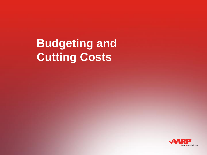# **Budgeting and Cutting Costs**

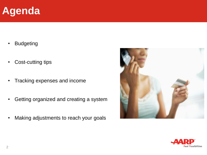#### **Agenda**

- Budgeting
- Cost-cutting tips
- Tracking expenses and income
- Getting organized and creating a system
- Making adjustments to reach your goals



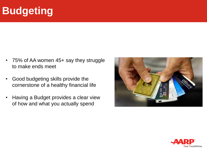## **Budgeting**

- 75% of AA women 45+ say they struggle to make ends meet
- Good budgeting skills provide the cornerstone of a healthy financial life
- Having a Budget provides a clear view of how and what you actually spend



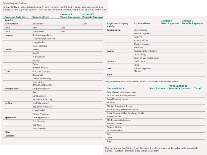#### **Spending Worksheet**

First, write down your expenses. Column A: fixed expenses-monthly cost, if the payment varies, write in an average. Column B: *flexible expenses*-costs that can vary month to month, and that you have some control over.

| <b>Expense Category</b> | <b>Expense Item</b>                    | Column A<br><b>Fixed Expenses</b> | <b>Column B</b><br><b>Flexible Expense</b> |
|-------------------------|----------------------------------------|-----------------------------------|--------------------------------------------|
| <b>Samples</b>          |                                        |                                   |                                            |
| Entertainment           | Restaurants                            |                                   | \$200                                      |
| Home                    | Rent                                   | \$600                             |                                            |
| Home                    | Water/Sewer                            | 550                               |                                            |
| Housing                 | Rent/Mortgage/Taxes                    |                                   |                                            |
|                         | Maintenance/Condo fee                  |                                   |                                            |
|                         | Lawn/Garden                            |                                   |                                            |
|                         | House Cleaning                         |                                   |                                            |
| <b>Utilities</b>        | Electric                               |                                   |                                            |
|                         | Gas/Oil                                |                                   |                                            |
|                         | Water/Sewer                            |                                   |                                            |
|                         | Garbage                                |                                   |                                            |
|                         | Phone                                  |                                   |                                            |
|                         | Internet Account                       |                                   |                                            |
| Food                    | Groceries (average)                    |                                   |                                            |
|                         | <b>Restaurants</b>                     |                                   |                                            |
|                         | Snacks (coffee, etc.)                  |                                   |                                            |
|                         | Entertaining<br>(food/beverages, etc.) |                                   |                                            |
| Transportation          | Car payment/Lease                      |                                   |                                            |
|                         | Gas                                    |                                   |                                            |
|                         | Car Insurance                          |                                   |                                            |
|                         | Subway/Bus/Parking                     |                                   |                                            |
| Medical                 | Health Insurance                       |                                   |                                            |
|                         | Regular Prescriptions                  |                                   |                                            |
|                         | Out-of-Pocket                          |                                   |                                            |
|                         | <b>Fitness Programs</b>                |                                   |                                            |
| Appearance              | <b>Clothing Purchases</b>              |                                   |                                            |
|                         | Dry Cleaning                           |                                   |                                            |
|                         | Hair Care                              |                                   |                                            |
|                         | Miscellaneous                          |                                   |                                            |
| Other                   |                                        |                                   |                                            |
| Childcare               |                                        |                                   |                                            |
|                         |                                        |                                   |                                            |
|                         |                                        |                                   |                                            |

| <b>Expense Category</b> | <b>Expense Item</b>               | Column A | <b>Column B</b><br><b>Fixed Expenses Flexible Expenses</b> |
|-------------------------|-----------------------------------|----------|------------------------------------------------------------|
| <b>Samples</b>          |                                   |          |                                                            |
| Entertainment           | Movies/Videos                     |          |                                                            |
|                         | Newspapers/Books                  |          |                                                            |
|                         | Cable TV                          |          |                                                            |
|                         | Sports (Golf, etc.)               |          |                                                            |
|                         | Theatre, Concerts                 |          |                                                            |
|                         | Travel, etc.                      |          |                                                            |
| Savings                 | Retirement Contributions          |          |                                                            |
|                         | Other Savings                     |          |                                                            |
|                         | <b>Reserve Fund Contributions</b> |          |                                                            |
| <b>Creditors</b>        | Credit Cards                      |          |                                                            |
|                         | Other                             |          |                                                            |
| Other                   | Business expenses/<br>Alimony     |          |                                                            |
| Total                   |                                   |          |                                                            |

Now, write down what comes in every month. Make sure to enter after-tax income:

| <b>Income Source</b>                     | <b>Your Income</b> | <b>Your Spouse or</b><br><b>Partner's Income</b> | Total |
|------------------------------------------|--------------------|--------------------------------------------------|-------|
| Salary/Wages from employment             |                    |                                                  |       |
| Income from Self-Employment              |                    |                                                  |       |
| Rental Property Income                   |                    |                                                  |       |
| Alimony                                  |                    |                                                  |       |
| Monthly Investment Income                |                    |                                                  |       |
| Social Security Retirement Benefit       |                    |                                                  |       |
| Social Security Widow/Survivor's Benefit |                    |                                                  |       |
| Pension Benefit                          |                    |                                                  |       |
| IRA Income (distribution)                |                    |                                                  |       |
| Veteran's Pension                        |                    |                                                  |       |
| Annuity Income                           |                    |                                                  |       |
| Inheritance/Trust                        |                    |                                                  |       |
| Gifts                                    |                    |                                                  |       |
| Other                                    |                    |                                                  |       |
| Total                                    |                    |                                                  |       |

Now, do the math. Add Column A and B from the first table, and subtract the total from the second table: (Income - Expenses = Potential Savings to help reduce debt)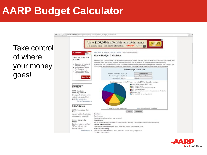### **AARP Budget Calculator**

Take control of where your money goes!



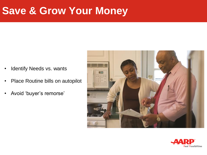#### **Save & Grow Your Money**

- Identify Needs vs. wants
- Place Routine bills on autopilot
- Avoid 'buyer's remorse'



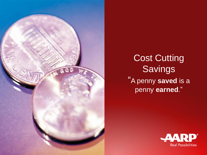

Cost Cutting **Savings** "A penny **saved** is a penny **earned**."

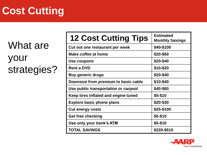## **Cost Cutting**

What are your strategies?

| <b>12 Cost Cutting Tips</b>          | <b>Estimated</b><br><b>Monthly Savings</b> |
|--------------------------------------|--------------------------------------------|
| Cut out one restaurant per week      | \$40-\$100                                 |
| Make coffee at home                  | \$20-\$50                                  |
| Use coupons                          | \$20-\$40                                  |
| <b>Rent a DVD</b>                    | \$10-\$20                                  |
| <b>Buy generic drugs</b>             | \$20-\$40                                  |
| Downsize from premium to basic cable | \$10-\$40                                  |
| Use public transportation or carpool | \$40-\$60                                  |
| Keep tires inflated and engine tuned | \$5-\$10                                   |
| <b>Explore basic phone plans</b>     | \$20-\$30                                  |
| <b>Cut energy costs</b>              | \$25-\$100                                 |
| Get free checking                    | \$5-\$10                                   |
| Use only your bank's ATM             | \$5-\$10                                   |
| <b>TOTAL SAVINGS</b>                 | \$220-\$510                                |

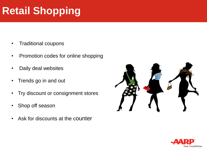## **Retail Shopping**

- Traditional coupons
- Promotion codes for online shopping
- Daily deal websites
- Trends go in and out
- Try discount or consignment stores
- Shop off season
- Ask for discounts at the counter



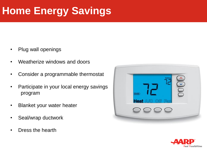## **Home Energy Savings**

- Plug wall openings
- Weatherize windows and doors
- Consider a programmable thermostat
- Participate in your local energy savings program
- Blanket your water heater
- Seal/wrap ductwork
- Dress the hearth



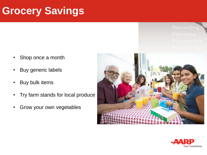#### **Grocery Savings**

Rewarding

- Shop once a month
- Buy generic labels
- Buy bulk items
- Try farm stands for local produce
- Grow your own vegetables



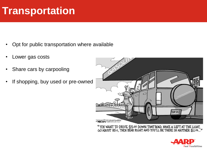#### **Transportation**

- Opt for public transportation where available
- Lower gas costs
- Share cars by carpooling
- If shopping, buy used or pre-owned



"YOU WANT TO DRIVE  $$5.00$  DOWN THAT ROAD, MAKE A LEFT AT THE LIGHT, GO ABOUT  $85¢$ , THEN BEAR RIGHT AND YOU'LL BE THERE IN ANOTHER  $$2.25...''$ 

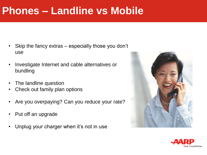#### **Phones – Landline vs Mobile**

- Skip the fancy extras especially those you don't use
- Investigate Internet and cable alternatives or bundling
- The landline question
- Check out family plan options
- Are you overpaying? Can you reduce your rate?
- Put off an upgrade
- Unplug your charger when it's not in use



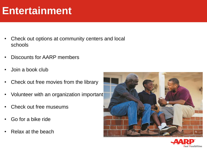#### **Entertainment**

- Check out options at community centers and local schools
- Discounts for AARP members
- Join a book club
- Check out free movies from the library
- Volunteer with an organization important
- Check out free museums
- Go for a bike ride
- Relax at the beach



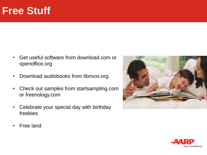#### **Free Stuff**

- Get useful software from download.com or openoffice.org
- Download audiobooks from librivox.org
- Check out samples from startsampling.com or freenology.com
- Celebrate your special day with birthday freebies



• Free land

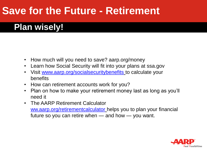#### **Save for the Future - Retirement**

#### **Plan wisely!**

- How much will you need to save? aarp.org/money
- Learn how Social Security will fit into your plans at ssa.gov
- Visit [www.aarp.org/socialsecuritybenefits](http://www.aarp.org/socialsecuritybenefits) to calculate your benefits
- How can retirement accounts work for you?
- Plan on how to make your retirement money last as long as you'll need it
- The AARP Retirement Calculator [ww.aarp.org/retirementcalculator](http://www.aarp.org/retirementcalculator) helps you to plan your financial future so you can retire when — and how — you want.

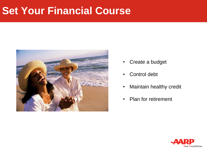#### **Set Your Financial Course**



- Create a budget
- Control debt
- Maintain healthy credit
- Plan for retirement

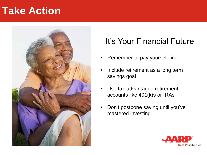#### **Take Action**



#### It's Your Financial Future

- Remember to pay yourself first
- Include retirement as a long term savings goal
- Use tax-advantaged retirement accounts like 401(k)s or IRAs
- Don't postpone saving until you've mastered investing